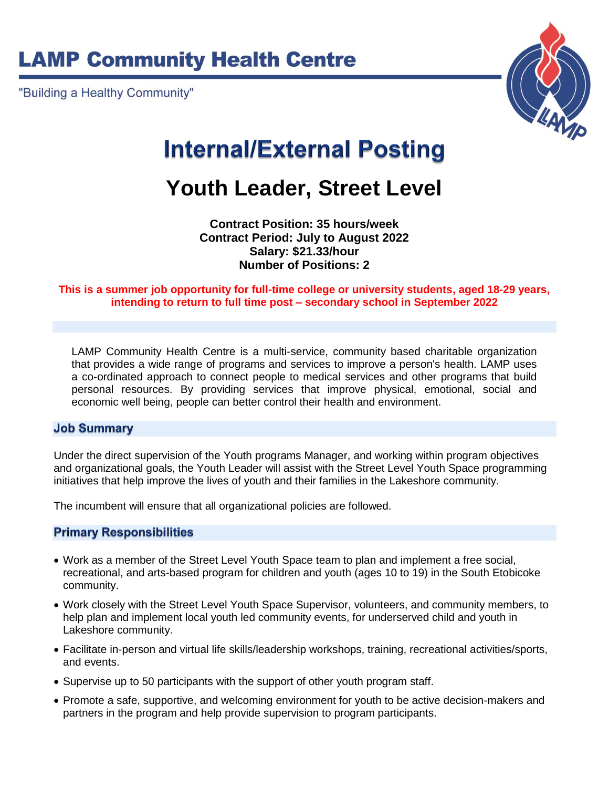# **LAMP Community Health Centre**

"Building a Healthy Community"



# **Internal/External Posting**

## **Youth Leader, Street Level**

**Contract Position: 35 hours/week Contract Period: July to August 2022 Salary: \$21.33/hour Number of Positions: 2**

#### **This is a summer job opportunity for full-time college or university students, aged 18-29 years, intending to return to full time post – secondary school in September 2022**

LAMP Community Health Centre is a multi-service, community based charitable organization that provides a wide range of programs and services to improve a person's health. LAMP uses a co-ordinated approach to connect people to medical services and other programs that build personal resources. By providing services that improve physical, emotional, social and economic well being, people can better control their health and environment.

#### **Job Summary**

Under the direct supervision of the Youth programs Manager, and working within program objectives and organizational goals, the Youth Leader will assist with the Street Level Youth Space programming initiatives that help improve the lives of youth and their families in the Lakeshore community.

The incumbent will ensure that all organizational policies are followed.

#### **Primary Responsibilities**

- Work as a member of the Street Level Youth Space team to plan and implement a free social, recreational, and arts-based program for children and youth (ages 10 to 19) in the South Etobicoke community.
- Work closely with the Street Level Youth Space Supervisor, volunteers, and community members, to help plan and implement local youth led community events, for underserved child and youth in Lakeshore community.
- Facilitate in-person and virtual life skills/leadership workshops, training, recreational activities/sports, and events.
- Supervise up to 50 participants with the support of other youth program staff.
- Promote a safe, supportive, and welcoming environment for youth to be active decision-makers and partners in the program and help provide supervision to program participants.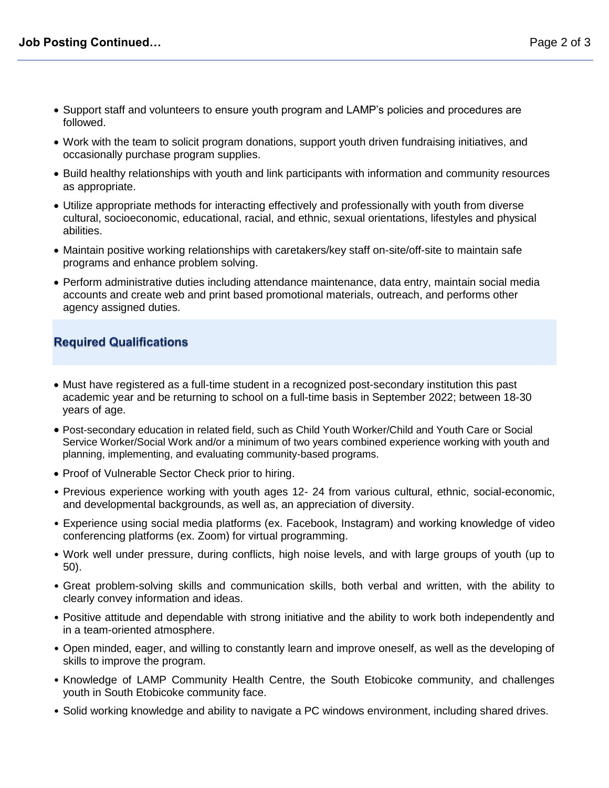- Support staff and volunteers to ensure youth program and LAMP's policies and procedures are followed.
- Work with the team to solicit program donations, support youth driven fundraising initiatives, and occasionally purchase program supplies.
- Build healthy relationships with youth and link participants with information and community resources as appropriate.
- Utilize appropriate methods for interacting effectively and professionally with youth from diverse cultural, socioeconomic, educational, racial, and ethnic, sexual orientations, lifestyles and physical abilities.
- Maintain positive working relationships with caretakers/key staff on-site/off-site to maintain safe programs and enhance problem solving.
- Perform administrative duties including attendance maintenance, data entry, maintain social media accounts and create web and print based promotional materials, outreach, and performs other agency assigned duties.

## **Required Qualifications**

- Must have registered as a full-time student in a recognized post-secondary institution this past academic year and be returning to school on a full-time basis in September 2022; between 18-30 years of age.
- Post-secondary education in related field, such as Child Youth Worker/Child and Youth Care or Social Service Worker/Social Work and/or a minimum of two years combined experience working with youth and planning, implementing, and evaluating community-based programs.
- Proof of Vulnerable Sector Check prior to hiring.
- Previous experience working with youth ages 12- 24 from various cultural, ethnic, social-economic, and developmental backgrounds, as well as, an appreciation of diversity.
- Experience using social media platforms (ex. Facebook, Instagram) and working knowledge of video conferencing platforms (ex. Zoom) for virtual programming.
- Work well under pressure, during conflicts, high noise levels, and with large groups of youth (up to 50).
- Great problem-solving skills and communication skills, both verbal and written, with the ability to clearly convey information and ideas.
- Positive attitude and dependable with strong initiative and the ability to work both independently and in a team-oriented atmosphere.
- Open minded, eager, and willing to constantly learn and improve oneself, as well as the developing of skills to improve the program.
- Knowledge of LAMP Community Health Centre, the South Etobicoke community, and challenges youth in South Etobicoke community face.
- Solid working knowledge and ability to navigate a PC windows environment, including shared drives.